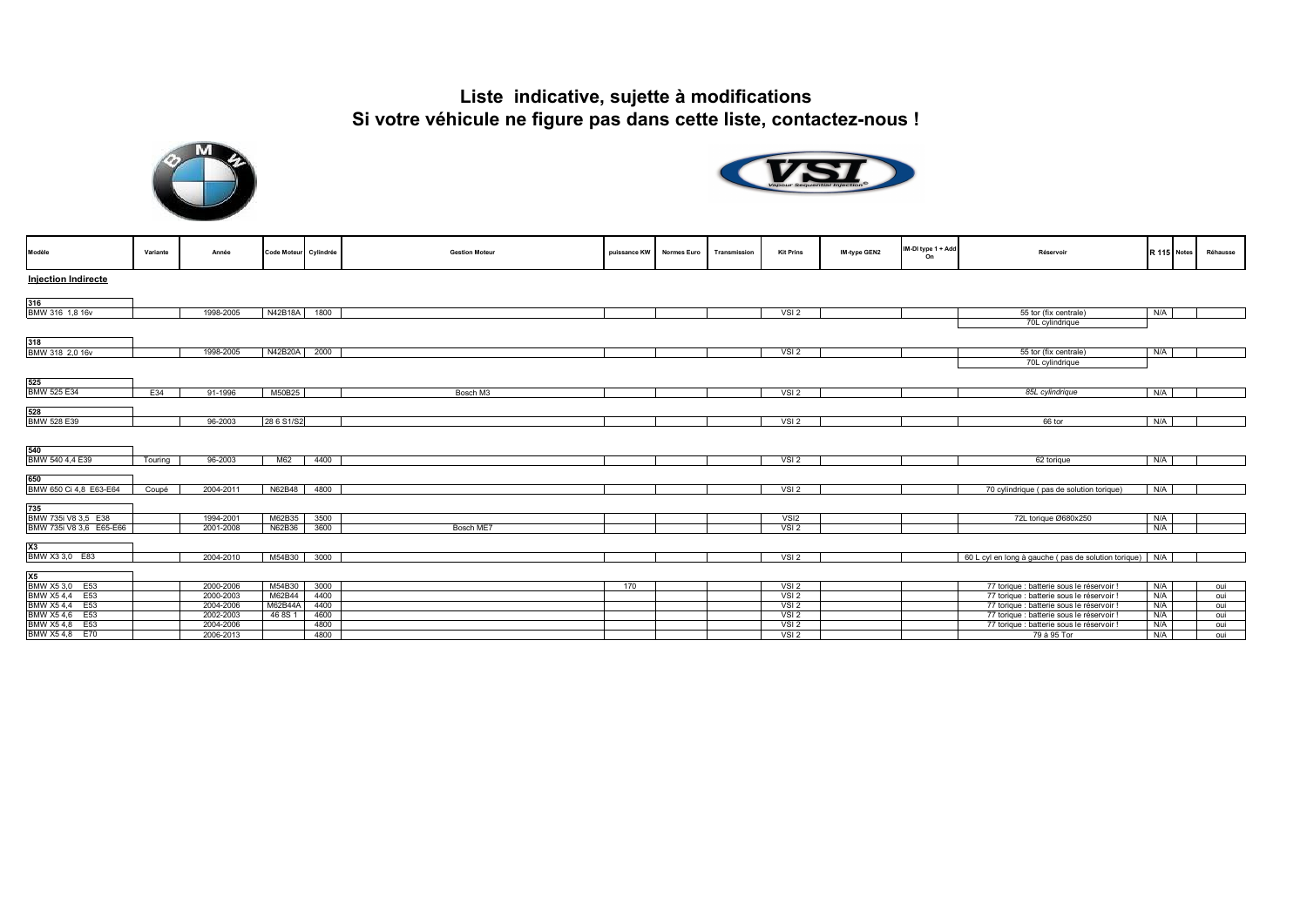## **Liste indicative, sujette à modifications Si votre véhicule ne figure pas dans cette liste, contactez-nous !**





| Modèle                        | Variante | Année     | Code Moteur Cylindrée |      | <b>Gestion Moteur</b> | puissance KW | <b>Normes Euro</b> | Transmission | <b>Kit Prins</b> | IM-type GEN2 | IM-DI type 1 + Add<br>On | Réservoir                                               |     | R 115 Notes | Réhausse |
|-------------------------------|----------|-----------|-----------------------|------|-----------------------|--------------|--------------------|--------------|------------------|--------------|--------------------------|---------------------------------------------------------|-----|-------------|----------|
| <b>Injection Indirecte</b>    |          |           |                       |      |                       |              |                    |              |                  |              |                          |                                                         |     |             |          |
| 316                           |          |           |                       |      |                       |              |                    |              |                  |              |                          |                                                         |     |             |          |
| BMW 316 1,8 16v               |          | 1998-2005 | N42B18A               | 1800 |                       |              |                    |              | VSI <sub>2</sub> |              |                          | 55 tor (fix centrale)                                   | N/A |             |          |
|                               |          |           |                       |      |                       |              |                    |              |                  |              |                          | 70L cylindrique                                         |     |             |          |
| 318                           |          |           |                       |      |                       |              |                    |              |                  |              |                          |                                                         |     |             |          |
| BMW 318 2,0 16v               |          | 1998-2005 | N42B20A               | 2000 |                       |              |                    |              | VSI <sub>2</sub> |              |                          | 55 tor (fix centrale)                                   | N/A |             |          |
|                               |          |           |                       |      |                       |              |                    |              |                  |              |                          | 70L cylindrique                                         |     |             |          |
|                               |          |           |                       |      |                       |              |                    |              |                  |              |                          |                                                         |     |             |          |
| 525                           |          |           |                       |      |                       |              |                    |              |                  |              |                          |                                                         |     |             |          |
| <b>BMW 525 E34</b>            | E34      | 91-1996   | M50B25                |      | Bosch M3              |              |                    |              | VSI <sub>2</sub> |              |                          | 85L cylindrique                                         | N/A |             |          |
|                               |          |           |                       |      |                       |              |                    |              |                  |              |                          |                                                         |     |             |          |
| 528                           |          |           |                       |      |                       |              |                    |              |                  |              |                          |                                                         |     |             |          |
| BMW 528 E39                   |          | 96-2003   | 28 6 S1/S2            |      |                       |              |                    |              | VSI <sub>2</sub> |              |                          | 66 tor                                                  | N/A |             |          |
| 540<br>BMW 540 4,4 E39        | Touring  | 96-2003   | M62                   | 4400 |                       |              |                    |              | VSI <sub>2</sub> |              |                          | 62 torique                                              | N/A |             |          |
|                               |          |           |                       |      |                       |              |                    |              |                  |              |                          |                                                         |     |             |          |
|                               |          |           |                       |      |                       |              |                    |              |                  |              |                          |                                                         |     |             |          |
| 650<br>BMW 650 Ci 4,8 E63-E64 | Coupé    | 2004-2011 | N62B48                | 4800 |                       |              |                    |              | VSI <sub>2</sub> |              |                          | 70 cylindrique (pas de solution torique)                | N/A |             |          |
| 735                           |          |           |                       |      |                       |              |                    |              |                  |              |                          |                                                         |     |             |          |
| BMW 735i V8 3,5 E38           |          | 1994-2001 | M62B35                | 3500 |                       |              |                    |              | VSI <sub>2</sub> |              |                          | 72L torique Ø680x250                                    | N/A |             |          |
| BMW 735i V8 3,6 E65-E66       |          | 2001-2008 | N62B36                | 3600 | Bosch ME7             |              |                    |              | VSI <sub>2</sub> |              |                          |                                                         | N/A |             |          |
| X3                            |          |           |                       |      |                       |              |                    |              |                  |              |                          |                                                         |     |             |          |
| BMW X3 3,0 E83                |          | 2004-2010 | M54B30                | 3000 |                       |              |                    |              | VSI <sub>2</sub> |              |                          | 60 L cyl en long à gauche (pas de solution torique) N/A |     |             |          |
| X5                            |          |           |                       |      |                       |              |                    |              |                  |              |                          |                                                         |     |             |          |
| BMW X5 3,0 E53                |          | 2000-2006 | M54B30                | 3000 |                       | 170          |                    |              | VSI <sub>2</sub> |              |                          | 77 torique : batterie sous le réservoir !               | N/A |             | oui      |
| BMW X54,4 E53                 |          | 2000-2003 | M62B44                | 4400 |                       |              |                    |              | VSI <sub>2</sub> |              |                          | 77 torique : batterie sous le réservoir !               | N/A |             | oui      |
| BMW X54,4 E53                 |          | 2004-2006 | M62B44A               | 4400 |                       |              |                    |              | VSI <sub>2</sub> |              |                          | 77 torique : batterie sous le réservoir !               | N/A |             | oui      |
| BMW X54,6 E53                 |          | 2002-2003 | 46 8S 1               | 4600 |                       |              |                    |              | VSI <sub>2</sub> |              |                          | 77 torique : batterie sous le réservoir !               | N/A |             | oui      |
| BMW X54,8 E53                 |          | 2004-2006 |                       | 4800 |                       |              |                    |              | VSI2             |              |                          | 77 torique : batterie sous le réservoir !               | N/A |             | oui      |
| BMW X54,8 E70                 |          | 2006-2013 |                       | 4800 |                       |              |                    |              | VSI2             |              |                          | 79 à 95 Tor                                             | N/A |             | oui      |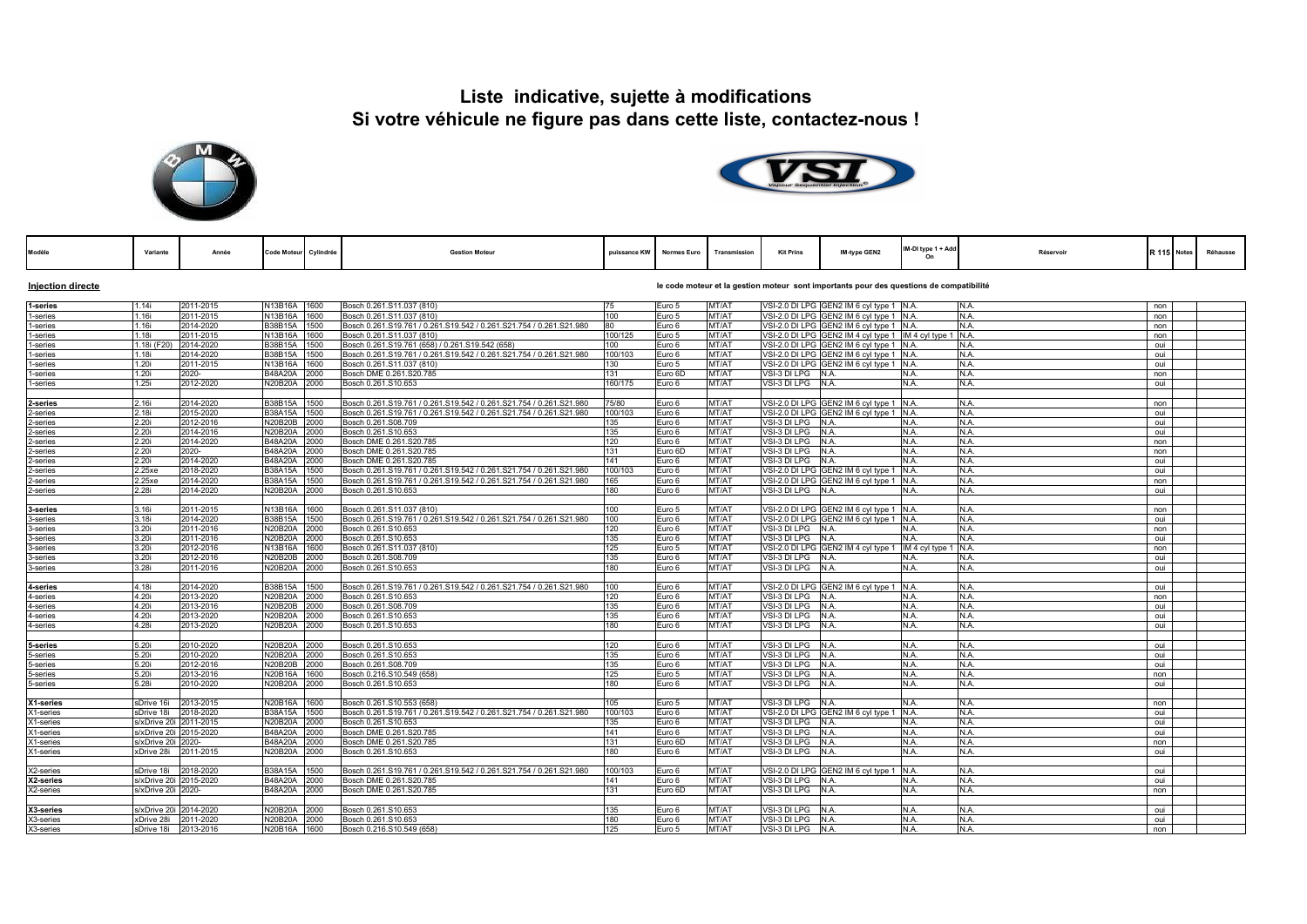## **Liste indicative, sujette à modifications Si votre véhicule ne figure pas dans cette liste, contactez-nous !**





| Modèle                   | Variante                   | Année                  | <b>Code Moteur</b>        | Cylindrée    | <b>Gestion Moteur</b>                                                                      | puissance KW   | <b>Normes Euro</b>                                                                      | Transmission   | <b>Kit Prins</b>  | IM-type GEN2                                | IM-DI type 1 + Add   | Réservoir    |            | R 115 Notes | Réhausse |
|--------------------------|----------------------------|------------------------|---------------------------|--------------|--------------------------------------------------------------------------------------------|----------------|-----------------------------------------------------------------------------------------|----------------|-------------------|---------------------------------------------|----------------------|--------------|------------|-------------|----------|
| <b>Injection directe</b> |                            |                        |                           |              |                                                                                            |                | le code moteur et la gestion moteur sont importants pour des questions de compatibilité |                |                   |                                             |                      |              |            |             |          |
| 1-series                 | 1.14i                      | 2011-2015              | N13B16A 1600              |              | Bosch 0.261.S11.037 (810)                                                                  | 75             | Euro 5                                                                                  | MT/AT          |                   | VSI-2.0 DI LPG GEN2 IM 6 cyl type 1 N.A.    |                      | N.A.         | non        |             |          |
| 1-series                 | 1.16i                      | 2011-2015              | N13B16A 1600              |              | Bosch 0.261.S11.037 (810)                                                                  | 100            | Euro 5                                                                                  | MT/AT          |                   | VSI-2.0 DI LPG GEN2 IM 6 cyl type 1 N.A.    |                      | N.A.         | non        |             |          |
| 1-series                 | 1.16i                      | 2014-2020              | <b>B38B15A</b>            | 1500         | Bosch 0.261.S19.761 / 0.261.S19.542 / 0.261.S21.754 / 0.261.S21.980                        | 80             | Euro 6                                                                                  | MT/AT          |                   | VSI-2.0 DI LPG GEN2 IM 6 cyl type 1         | N.A.                 | N.A.         | non        |             |          |
| 1-series                 | 1.18i                      | 2011-2015              | N13B16A                   | 1600         | Bosch 0.261.S11.037 (810)                                                                  | 100/125        | Euro 5                                                                                  | MT/AT          |                   | VSI-2.0 DI LPG GEN2 IM 4 cyl type 1         | IM 4 cyl type 1 N.A. |              | non        |             |          |
| 1-series                 | 1.18i (F20)                | 2014-2020              | B38B15A 1500              |              | Bosch 0.261.S19.761 (658) / 0.261.S19.542 (658)                                            | 100            | Euro 6                                                                                  | MT/AT          |                   | VSI-2.0 DI LPG GEN2 IM 6 cyl type 1         | N.A.                 | N.A.         | oui        |             |          |
| 1-series                 | 1.18i                      | 2014-2020              | B38B15A                   | 1500         | Bosch 0.261.S19.761 / 0.261.S19.542 / 0.261.S21.754 / 0.261.S21.980                        | 100/103        | Euro 6                                                                                  | MT/AT          |                   | VSI-2.0 DI LPG GEN2 IM 6 cyl type 1         | N.A.                 | N.A.         | oui        |             |          |
| 1-series                 | 1.20i                      | 2011-2015              | N13B16A                   | 1600         | Bosch 0.261.S11.037 (810)                                                                  | 130            | Euro 5                                                                                  | MT/AT          |                   | VSI-2.0 DI LPG GEN2 IM 6 cyl type 1         | N.A.                 | N.A.         | oui        |             |          |
| 1-series                 | 1.20i                      | 2020-                  | B48A20A                   | 2000         | Bosch DME 0.261.S20.785                                                                    | 131            | Euro 6D                                                                                 | MT/AT          | /SI-3 DI LPG      | N.A.                                        | N.A.                 | N.A.         | non        |             |          |
| 1-series                 | 1.25i                      | 2012-2020              | <b>N20B20A</b>            | 2000         | Bosch 0.261.S10.653                                                                        | 160/175        | Euro 6                                                                                  | MT/AT          | VSI-3 DI LPG      | N.A.                                        | N.A.                 | N.A.         | oui        |             |          |
|                          |                            |                        |                           |              |                                                                                            |                |                                                                                         |                |                   |                                             |                      |              |            |             |          |
| 2-series                 | 2.16i                      | 2014-2020              | B38B15A                   | 1500         | Bosch 0.261.S19.761 / 0.261.S19.542 / 0.261.S21.754 / 0.261.S21.980                        | 75/80          | Euro 6                                                                                  | MT/AT          |                   | VSI-2.0 DI LPG GEN2 IM 6 cyl type 1 N.A.    |                      | N.A.         | non        |             |          |
| 2-series                 | 2.18i                      | 2015-2020              | <b>B38A15A</b>            | 1500         | Bosch 0.261.S19.761 / 0.261.S19.542 / 0.261.S21.754 / 0.261.S21.980                        | 100/103        | Euro 6                                                                                  | MT/AT          |                   | VSI-2.0 DI LPG GEN2 IM 6 cyl type 1         | N.A.                 | N.A.         | oui        |             |          |
| 2-series                 | 2.20i                      | 2012-2016              | N20B20B 2000              |              | Bosch 0.261.S08.709                                                                        | 135            | Euro 6                                                                                  | MT/AT          | VSI-3 DI LPG N.A. |                                             | N.A.                 | N.A.         | oui        |             |          |
| 2-series                 | 2.20i                      | 2014-2016              | <b>N20B20A</b>            | 2000         | Bosch 0.261.S10.653                                                                        | 135            | Euro 6                                                                                  | MT/AT          | VSI-3 DI LPG      | N.A.                                        | N.A.                 | N.A.         | oui        |             |          |
| 2-series                 | 2.20i                      | 2014-2020              | <b>B48A20A</b>            | 2000         | Bosch DME 0.261.S20.785                                                                    | 120            | Euro 6                                                                                  | MT/AT          | /SI-3 DI LPG      | N.A.                                        | N.A.                 | N.A.         | non        |             |          |
| 2-series                 | 2.20i                      | 2020-                  | B48A20A                   | 2000         | Bosch DME 0.261.S20.785                                                                    | 131            | Euro 6D                                                                                 | MT/AT          | VSI-3 DI LPG      | N.A.                                        | N.A.                 | N.A.         | non        |             |          |
| 2-series                 | 2.20i                      | 2014-2020              | B48A20A                   | 2000         | Bosch DME 0.261.S20.785                                                                    | 141            | Euro 6                                                                                  | MT/AT          | VSI-3 DI LPG      | N.A.                                        | N.A.                 | N.A.         | oui        |             |          |
| 2-series                 | 2.25xe                     | 2018-2020              | <b>B38A15A</b>            | 1500         | Bosch 0.261.S19.761 / 0.261.S19.542 / 0.261.S21.754 / 0.261.S21.980                        | 100/103        | Euro 6                                                                                  | MT/AT          |                   | VSI-2.0 DI LPG GEN2 IM 6 cyl type 1         | N.A.                 | N.A.         | oui        |             |          |
| 2-series                 | 2.25xe                     | 2014-2020              | <b>B38A15A</b>            | 1500         | Bosch 0.261.S19.761 / 0.261.S19.542 / 0.261.S21.754 / 0.261.S21.980                        | 165            | Euro 6                                                                                  | MT/AT          |                   | VSI-2.0 DI LPG GEN2 IM 6 cyl type 1         | N.A.                 | N.A.         | non        |             |          |
| 2-series                 | 2.28i                      | 2014-2020              | <b>N20B20A</b>            | 2000         | Bosch 0.261.S10.653                                                                        | 180            | Euro 6                                                                                  | MT/AT          | VSI-3 DI LPG      | N.A.                                        | N.A.                 | N.A.         | oui        |             |          |
|                          |                            |                        |                           |              |                                                                                            |                |                                                                                         |                |                   |                                             |                      |              |            |             |          |
| 3-series                 | 3.16i                      | 2011-2015              | N13B16A 1600              |              | Bosch 0.261.S11.037 (810)                                                                  | 100            | Euro 5                                                                                  | MT/AT          |                   | VSI-2.0 DI LPG GEN2 IM 6 cvl tvpe 1 N.A.    |                      | N.A.         | non        |             |          |
| 3-series                 | 3.18i                      | 2014-2020              | B38B15A                   | 1500         | Bosch 0.261.S19.761 / 0.261.S19.542 / 0.261.S21.754 / 0.261.S21.980                        | 100            | Euro 6                                                                                  | MT/AT          |                   | VSI-2.0 DI LPG GEN2 IM 6 cyl type 1         | N.A.                 | N.A.         | oui        |             |          |
| 3-series                 | 3.20i                      | 2011-2016              | <b>N20B20A</b>            | 2000         | Bosch 0.261.S10.653                                                                        | 120            | Euro 6                                                                                  | MT/AT          | /SI-3 DI LPG      | N.A.                                        | N.A.                 | N.A.         | non        |             |          |
| 3-series                 | 3.20i                      | 2011-2016              | <b>N20B20A</b>            | 2000         | Bosch 0.261.S10.653                                                                        | 135            | Euro 6                                                                                  | MT/AT          | VSI-3 DI LPG      | N.A.                                        | N.A.                 | N.A.         | oui        |             |          |
| 3-series                 | 3.20i                      | 2012-2016              | N13B16A                   | 1600         | Bosch 0.261.S11.037 (810)                                                                  | 125            | Euro 5                                                                                  | MT/AT          |                   | VSI-2.0 DI LPG GEN2 IM 4 cyl type 1         | IM 4 cyl type 1 N.A. |              | non        |             |          |
| 3-series                 | 3.20i                      | 2012-2016              | <b>N20B20B</b>            | 2000         | Bosch 0.261.S08.709                                                                        | 135            | Euro 6                                                                                  | MT/AT          | VSI-3 DI LPG      | IN.A.                                       | N.A.                 | N.A.         | oui        |             |          |
| 3-series                 | 3.28i                      | 2011-2016              | <b>N20B20A</b>            | 2000         | Bosch 0.261.S10.653                                                                        | 180            | Euro 6                                                                                  | MT/AT          | /SI-3 DI LPG      | N.A                                         | N.A.                 | N.A.         | oui        |             |          |
|                          |                            |                        |                           |              |                                                                                            |                |                                                                                         |                |                   |                                             |                      |              |            |             |          |
| 4-series                 | 4.18i                      | 2014-2020              | B38B15A                   | 1500         | Bosch 0.261.S19.761 / 0.261.S19.542 / 0.261.S21.754 / 0.261.S21.980                        | 100            | Euro 6                                                                                  | MT/AT          |                   | VSI-2.0 DI LPG GEN2 IM 6 cyl type 1         | N.A.                 | N.A.         | oui        |             |          |
| 4-series                 | 4.20i                      | 2013-2020              | <b>N20B20A</b>            | 2000         | Bosch 0.261.S10.653                                                                        | 120            | Euro 6                                                                                  | MT/AT          | VSI-3 DI LPG N.A. |                                             | N.A.                 | N.A.         | non        |             |          |
| 4-series                 | 4.20i                      | 2013-2016              | N20B20B 2000              |              | Bosch 0.261.S08.709                                                                        | 135            | Euro 6                                                                                  | MT/AT          | VSI-3 DI LPG      | N.A.                                        | N.A.                 | N.A.         | oui        |             |          |
| 4-series                 | 4.20i                      | 2013-2020              | N20B20A 2000              |              | Bosch 0.261.S10.653                                                                        | 135            | Euro 6                                                                                  | MT/AT          | VSI-3 DI LPG      | N.A.                                        | N.A.                 | N.A.         | oui        |             |          |
| 4-series                 | 4.28i                      | 2013-2020              | N20B20A                   | 2000         | Bosch 0.261.S10.653                                                                        | 180            | Euro 6                                                                                  | MT/AT          | /SI-3 DI LPG      | N.A.                                        | N.A.                 | N.A.         | oui        |             |          |
|                          |                            |                        |                           |              |                                                                                            |                |                                                                                         |                |                   |                                             |                      |              |            |             |          |
| 5-series                 | 5.20i                      | 2010-2020              | N20B20A                   | 2000         | Bosch 0.261.S10.653                                                                        | 120            | Euro 6                                                                                  | MT/AT          | VSI-3 DI LPG      | N.A.                                        | N.A.                 | N.A.         | oui        |             |          |
| 5-series                 | 5.20i                      | 2010-2020              | N20B20A 2000              |              | Bosch 0.261.S10.653                                                                        | 135            | Euro 6                                                                                  | MT/AT          | /SI-3 DI LPG      | IN.A.                                       | N.A.                 | N.A.         | oui        |             |          |
| 5-series                 | 5.20i                      | 2012-2016              | <b>N20B20B</b>            | 2000         | Bosch 0.261.S08.709                                                                        | 135            | Euro 6                                                                                  | MT/AT          | VSI-3 DI LPG      | N.A.                                        | N.A.                 | N.A.         | oui        |             |          |
| 5-series                 | 5.20i                      | 2013-2016              | <b>N20B16A</b>            | 1600         | Bosch 0.216.S10.549 (658)                                                                  | 125            | Euro 5                                                                                  | MT/AT          | /SI-3 DI LPG      | N.A                                         | N.A.                 | N.A.         | non        |             |          |
| 5-series                 | 5.28i                      | 2010-2020              | N20B20A                   | 2000         | Bosch 0.261.S10.653                                                                        | 180            | Euro 6                                                                                  | MT/AT          | /SI-3 DI LPG      | N.A                                         | N.A.                 | N.A.         | oui        |             |          |
| X1-series                | sDrive 16i                 | 2013-2015              | N20B16A 1600              |              | Bosch 0.261.S10.553 (658)                                                                  | 105            | Euro 5                                                                                  | MT/AT          | VSI-3 DILPG N.A.  |                                             | N.A.                 | N.A.         | non        |             |          |
|                          |                            |                        |                           |              |                                                                                            |                |                                                                                         |                |                   |                                             |                      |              |            |             |          |
| X1-series<br>X1-series   | sDrive 18i<br>s/xDrive 20i | 2018-2020<br>2011-2015 | B38A15A<br><b>N20B20A</b> | 1500<br>2000 | Bosch 0.261.S19.761 / 0.261.S19.542 / 0.261.S21.754 / 0.261.S21.980<br>Bosch 0.261.S10.653 | 100/103<br>135 | Euro 6<br>Euro 6                                                                        | MT/AT<br>MT/AT | VSI-3 DI LPG      | VSI-2.0 DI LPG GEN2 IM 6 cyl type 1<br>N.A. | N.A.<br>N.A.         | N.A.<br>N.A. | oui<br>oui |             |          |
|                          | s/xDrive 20i               | 2015-2020              | <b>B48A20A</b>            | 2000         | Bosch DME 0.261.S20.785                                                                    | 141            | Euro 6                                                                                  | MT/AT          | VSI-3 DI LPG N.A. |                                             | N.A.                 | N.A.         | oui        |             |          |
| X1-series<br>X1-series   | s/xDrive 20i               | 2020-                  | <b>B48A20A</b>            | 2000         | Bosch DME 0.261.S20.785                                                                    | 131            | Euro 6D                                                                                 | MT/AT          | VSI-3 DI LPG      | N.A.                                        | N.A.                 | N.A.         | non        |             |          |
| X1-series                | xDrive 28i                 | 2011-2015              | <b>N20B20A</b>            | 2000         | Bosch 0.261.S10.653                                                                        | 180            | Euro 6                                                                                  | MT/AT          | VSI-3 DI LPG      | N.A.                                        | N.A.                 | N.A.         | oui        |             |          |
|                          |                            |                        |                           |              |                                                                                            |                |                                                                                         |                |                   |                                             |                      |              |            |             |          |
| X2-series                | sDrive 18i                 | 2018-2020              | <b>B38A15A</b>            | 1500         | Bosch 0.261.S19.761 / 0.261.S19.542 / 0.261.S21.754 / 0.261.S21.980                        | 100/103        | Euro 6                                                                                  | MT/AT          |                   | VSI-2.0 DI LPG GEN2 IM 6 cyl type 1 N.A.    |                      | N.A.         | oui        |             |          |
| X2-series                | s/xDrive 20i               | 2015-2020              | <b>B48A20A</b>            | 2000         | Bosch DME 0.261.S20.785                                                                    | 141            | Euro 6                                                                                  | MT/AT          | VSI-3 DI LPG      | N.A.                                        | N.A.                 | N.A.         | oui        |             |          |
| X2-series                | s/xDrive 20i 2020-         |                        | B48A20A                   | 2000         | Bosch DME 0.261.S20.785                                                                    | 131            | Euro 6D                                                                                 | MT/AT          | VSI-3 DI LPG N.A. |                                             | N.A.                 | N.A.         | non        |             |          |
|                          |                            |                        |                           |              |                                                                                            |                |                                                                                         |                |                   |                                             |                      |              |            |             |          |
| X3-series                | s/xDrive 20i 2014-2020     |                        | <b>N20B20A</b>            | 2000         | Bosch 0.261.S10.653                                                                        | 135            | Euro 6                                                                                  | MT/AT          | VSI-3 DI LPG      | N.A.                                        | N.A.                 | N.A.         | oui        |             |          |
| X3-series                | xDrive 28i                 | 2011-2020              | N20B20A                   | 2000         | Bosch 0.261.S10.653                                                                        | 180            | Euro 6                                                                                  | MT/AT          | VSI-3 DI LPG      | N.A                                         | N.A.                 | N.A.         | oui        |             |          |
| X3-series                | sDrive 18i                 | 2013-2016              | N20B16A 1600              |              | Bosch 0.216.S10.549 (658)                                                                  | 125            | Euro 5                                                                                  | MT/AT          | VSI-3 DI LPG      | N.A                                         | N.A.                 | N.A.         | non        |             |          |